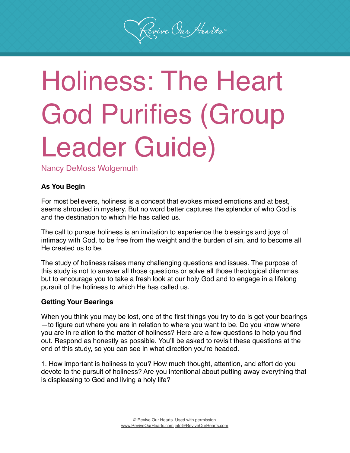Cevive Our Hearts

# Holiness: The Heart God Purifies (Group Leader Guide)

Nancy DeMoss Wolgemuth

#### **As You Begin**

For most believers, holiness is a concept that evokes mixed emotions and at best, seems shrouded in mystery. But no word better captures the splendor of who God is and the destination to which He has called us.

The call to pursue holiness is an invitation to experience the blessings and joys of intimacy with God, to be free from the weight and the burden of sin, and to become all He created us to be.

The study of holiness raises many challenging questions and issues. The purpose of this study is not to answer all those questions or solve all those theological dilemmas, but to encourage you to take a fresh look at our holy God and to engage in a lifelong pursuit of the holiness to which He has called us.

#### **Getting Your Bearings**

When you think you may be lost, one of the first things you try to do is get your bearings —to figure out where you are in relation to where you want to be. Do you know where you are in relation to the matter of holiness? Here are a few questions to help you find out. Respond as honestly as possible. You'll be asked to revisit these questions at the end of this study, so you can see in what direction you're headed.

1. How important is holiness to you? How much thought, attention, and effort do you devote to the pursuit of holiness? Are you intentional about putting away everything that is displeasing to God and living a holy life?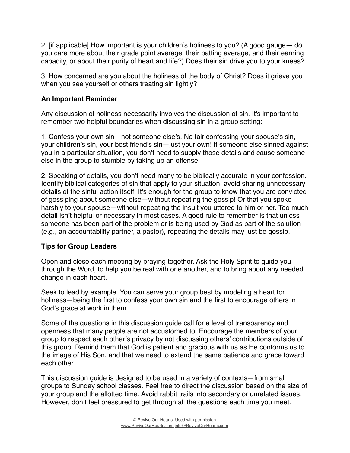2. [if applicable] How important is your children's holiness to you? (A good gauge— do you care more about their grade point average, their batting average, and their earning capacity, or about their purity of heart and life?) Does their sin drive you to your knees?

3. How concerned are you about the holiness of the body of Christ? Does it grieve you when you see yourself or others treating sin lightly?

#### **An Important Reminder**

Any discussion of holiness necessarily involves the discussion of sin. It's important to remember two helpful boundaries when discussing sin in a group setting:

1. Confess your own sin—not someone else's. No fair confessing your spouse's sin, your children's sin, your best friend's sin—just your own! If someone else sinned against you in a particular situation, you don't need to supply those details and cause someone else in the group to stumble by taking up an offense.

2. Speaking of details, you don't need many to be biblically accurate in your confession. Identify biblical categories of sin that apply to your situation; avoid sharing unnecessary details of the sinful action itself. It's enough for the group to know that you are convicted of gossiping about someone else—without repeating the gossip! Or that you spoke harshly to your spouse—without repeating the insult you uttered to him or her. Too much detail isn't helpful or necessary in most cases. A good rule to remember is that unless someone has been part of the problem or is being used by God as part of the solution (e.g., an accountability partner, a pastor), repeating the details may just be gossip.

#### **Tips for Group Leaders**

Open and close each meeting by praying together. Ask the Holy Spirit to guide you through the Word, to help you be real with one another, and to bring about any needed change in each heart.

Seek to lead by example. You can serve your group best by modeling a heart for holiness—being the first to confess your own sin and the first to encourage others in God's grace at work in them.

Some of the questions in this discussion guide call for a level of transparency and openness that many people are not accustomed to. Encourage the members of your group to respect each other's privacy by not discussing others' contributions outside of this group. Remind them that God is patient and gracious with us as He conforms us to the image of His Son, and that we need to extend the same patience and grace toward each other.

This discussion guide is designed to be used in a variety of contexts—from small groups to Sunday school classes. Feel free to direct the discussion based on the size of your group and the allotted time. Avoid rabbit trails into secondary or unrelated issues. However, don't feel pressured to get through all the questions each time you meet.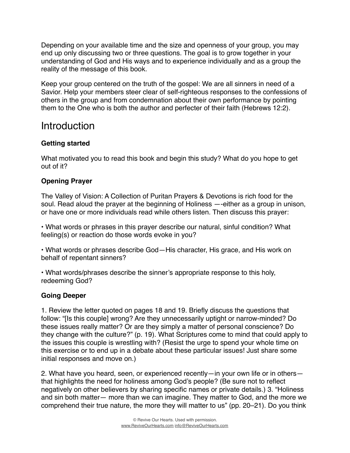Depending on your available time and the size and openness of your group, you may end up only discussing two or three questions. The goal is to grow together in your understanding of God and His ways and to experience individually and as a group the reality of the message of this book.

Keep your group centered on the truth of the gospel: We are all sinners in need of a Savior. Help your members steer clear of self-righteous responses to the confessions of others in the group and from condemnation about their own performance by pointing them to the One who is both the author and perfecter of their faith (Hebrews 12:2).

## Introduction

## **Getting started**

What motivated you to read this book and begin this study? What do you hope to get out of it?

## **Opening Prayer**

The Valley of Vision: A Collection of Puritan Prayers & Devotions is rich food for the soul. Read aloud the prayer at the beginning of Holiness —-either as a group in unison, or have one or more individuals read while others listen. Then discuss this prayer:

• What words or phrases in this prayer describe our natural, sinful condition? What feeling(s) or reaction do those words evoke in you?

• What words or phrases describe God—His character, His grace, and His work on behalf of repentant sinners?

• What words/phrases describe the sinner's appropriate response to this holy, redeeming God?

#### **Going Deeper**

1. Review the letter quoted on pages 18 and 19. Briefly discuss the questions that follow: "[Is this couple] wrong? Are they unnecessarily uptight or narrow-minded? Do these issues really matter? Or are they simply a matter of personal conscience? Do they change with the culture?" (p. 19). What Scriptures come to mind that could apply to the issues this couple is wrestling with? (Resist the urge to spend your whole time on this exercise or to end up in a debate about these particular issues! Just share some initial responses and move on.)

2. What have you heard, seen, or experienced recently—in your own life or in others that highlights the need for holiness among God's people? (Be sure not to reflect negatively on other believers by sharing specific names or private details.) 3. "Holiness and sin both matter— more than we can imagine. They matter to God, and the more we comprehend their true nature, the more they will matter to us" (pp. 20–21). Do you think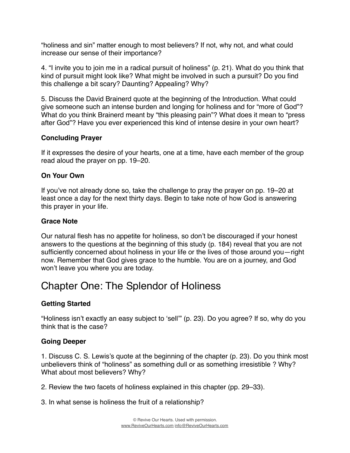"holiness and sin" matter enough to most believers? If not, why not, and what could increase our sense of their importance?

4. "I invite you to join me in a radical pursuit of holiness" (p. 21). What do you think that kind of pursuit might look like? What might be involved in such a pursuit? Do you find this challenge a bit scary? Daunting? Appealing? Why?

5. Discuss the David Brainerd quote at the beginning of the Introduction. What could give someone such an intense burden and longing for holiness and for "more of God"? What do you think Brainerd meant by "this pleasing pain"? What does it mean to "press after God"? Have you ever experienced this kind of intense desire in your own heart?

#### **Concluding Prayer**

If it expresses the desire of your hearts, one at a time, have each member of the group read aloud the prayer on pp. 19–20.

#### **On Your Own**

If you've not already done so, take the challenge to pray the prayer on pp. 19–20 at least once a day for the next thirty days. Begin to take note of how God is answering this prayer in your life.

#### **Grace Note**

Our natural flesh has no appetite for holiness, so don't be discouraged if your honest answers to the questions at the beginning of this study (p. 184) reveal that you are not sufficiently concerned about holiness in your life or the lives of those around you—right now. Remember that God gives grace to the humble. You are on a journey, and God won't leave you where you are today.

# Chapter One: The Splendor of Holiness

#### **Getting Started**

"Holiness isn't exactly an easy subject to 'sell'" (p. 23). Do you agree? If so, why do you think that is the case?

#### **Going Deeper**

1. Discuss C. S. Lewis's quote at the beginning of the chapter (p. 23). Do you think most unbelievers think of "holiness" as something dull or as something irresistible ? Why? What about most believers? Why?

- 2. Review the two facets of holiness explained in this chapter (pp. 29–33).
- 3. In what sense is holiness the fruit of a relationship?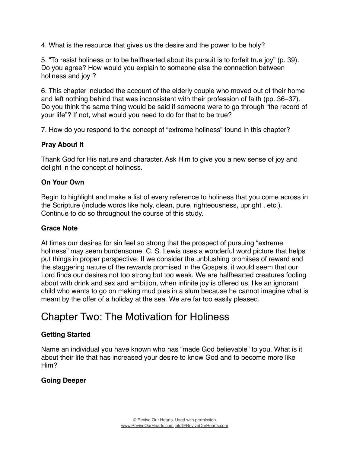4. What is the resource that gives us the desire and the power to be holy?

5. "To resist holiness or to be halfhearted about its pursuit is to forfeit true joy" (p. 39). Do you agree? How would you explain to someone else the connection between holiness and joy ?

6. This chapter included the account of the elderly couple who moved out of their home and left nothing behind that was inconsistent with their profession of faith (pp. 36–37). Do you think the same thing would be said if someone were to go through "the record of your life"? If not, what would you need to do for that to be true?

7. How do you respond to the concept of "extreme holiness" found in this chapter?

#### **Pray About It**

Thank God for His nature and character. Ask Him to give you a new sense of joy and delight in the concept of holiness.

#### **On Your Own**

Begin to highlight and make a list of every reference to holiness that you come across in the Scripture (include words like holy, clean, pure, righteousness, upright , etc.). Continue to do so throughout the course of this study.

#### **Grace Note**

At times our desires for sin feel so strong that the prospect of pursuing "extreme holiness" may seem burdensome. C. S. Lewis uses a wonderful word picture that helps put things in proper perspective: If we consider the unblushing promises of reward and the staggering nature of the rewards promised in the Gospels, it would seem that our Lord finds our desires not too strong but too weak. We are halfhearted creatures fooling about with drink and sex and ambition, when infinite joy is offered us, like an ignorant child who wants to go on making mud pies in a slum because he cannot imagine what is meant by the offer of a holiday at the sea. We are far too easily pleased.

# Chapter Two: The Motivation for Holiness

#### **Getting Started**

Name an individual you have known who has "made God believable" to you. What is it about their life that has increased your desire to know God and to become more like Him?

#### **Going Deeper**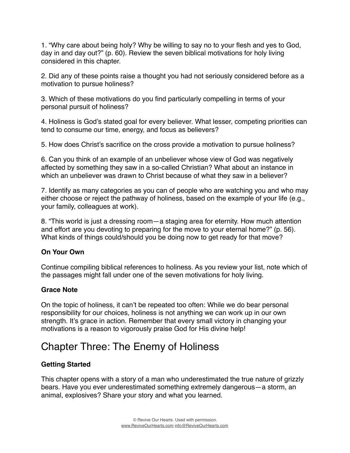1. "Why care about being holy? Why be willing to say no to your flesh and yes to God, day in and day out?" (p. 60). Review the seven biblical motivations for holy living considered in this chapter.

2. Did any of these points raise a thought you had not seriously considered before as a motivation to pursue holiness?

3. Which of these motivations do you find particularly compelling in terms of your personal pursuit of holiness?

4. Holiness is God's stated goal for every believer. What lesser, competing priorities can tend to consume our time, energy, and focus as believers?

5. How does Christ's sacrifice on the cross provide a motivation to pursue holiness?

6. Can you think of an example of an unbeliever whose view of God was negatively affected by something they saw in a so-called Christian? What about an instance in which an unbeliever was drawn to Christ because of what they saw in a believer?

7. Identify as many categories as you can of people who are watching you and who may either choose or reject the pathway of holiness, based on the example of your life (e.g., your family, colleagues at work).

8. "This world is just a dressing room—a staging area for eternity. How much attention and effort are you devoting to preparing for the move to your eternal home?" (p. 56). What kinds of things could/should you be doing now to get ready for that move?

#### **On Your Own**

Continue compiling biblical references to holiness. As you review your list, note which of the passages might fall under one of the seven motivations for holy living.

#### **Grace Note**

On the topic of holiness, it can't be repeated too often: While we do bear personal responsibility for our choices, holiness is not anything we can work up in our own strength. It's grace in action. Remember that every small victory in changing your motivations is a reason to vigorously praise God for His divine help!

# Chapter Three: The Enemy of Holiness

#### **Getting Started**

This chapter opens with a story of a man who underestimated the true nature of grizzly bears. Have you ever underestimated something extremely dangerous—a storm, an animal, explosives? Share your story and what you learned.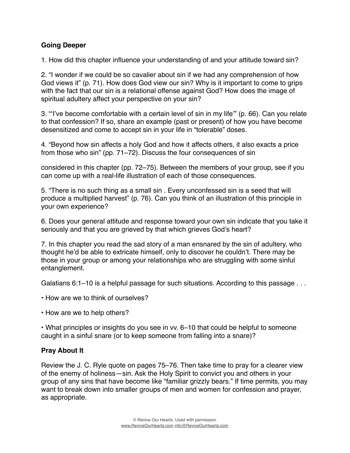#### **Going Deeper**

1. How did this chapter influence your understanding of and your attitude toward sin?

2. "I wonder if we could be so cavalier about sin if we had any comprehension of how God views it" (p. 71). How does God view our sin? Why is it important to come to grips with the fact that our sin is a relational offense against God? How does the image of spiritual adultery affect your perspective on your sin?

3. "'I've become comfortable with a certain level of sin in my life'" (p. 66). Can you relate to that confession? If so, share an example (past or present) of how you have become desensitized and come to accept sin in your life in "tolerable" doses.

4. "Beyond how sin affects a holy God and how it affects others, it also exacts a price from those who sin" (pp. 71–72). Discuss the four consequences of sin

considered in this chapter (pp. 72–75). Between the members of your group, see if you can come up with a real-life illustration of each of those consequences.

5. "There is no such thing as a small sin . Every unconfessed sin is a seed that will produce a multiplied harvest" (p. 76). Can you think of an illustration of this principle in your own experience?

6. Does your general attitude and response toward your own sin indicate that you take it seriously and that you are grieved by that which grieves God's heart?

7. In this chapter you read the sad story of a man ensnared by the sin of adultery, who thought he'd be able to extricate himself, only to discover he couldn't. There may be those in your group or among your relationships who are struggling with some sinful entanglement.

Galatians 6:1–10 is a helpful passage for such situations. According to this passage ...

- How are we to think of ourselves?
- How are we to help others?

• What principles or insights do you see in vv. 6–10 that could be helpful to someone caught in a sinful snare (or to keep someone from falling into a snare)?

#### **Pray About It**

Review the J. C. Ryle quote on pages 75–76. Then take time to pray for a clearer view of the enemy of holiness—sin. Ask the Holy Spirit to convict you and others in your group of any sins that have become like "familiar grizzly bears." If time permits, you may want to break down into smaller groups of men and women for confession and prayer, as appropriate.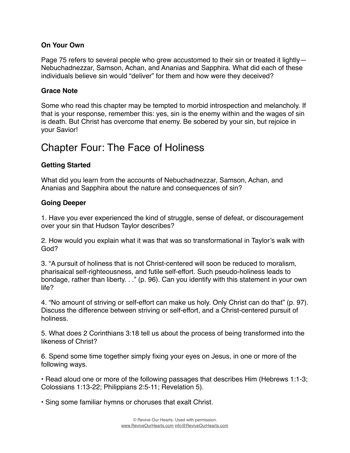#### **On Your Own**

Page 75 refers to several people who grew accustomed to their sin or treated it lightly— Nebuchadnezzar, Samson, Achan, and Ananias and Sapphira. What did each of these individuals believe sin would "deliver" for them and how were they deceived?

#### **Grace Note**

Some who read this chapter may be tempted to morbid introspection and melancholy. If that is your response, remember this: yes, sin is the enemy within and the wages of sin is death. But Christ has overcome that enemy. Be sobered by your sin, but rejoice in your Savior!

## Chapter Four: The Face of Holiness

#### **Getting Started**

What did you learn from the accounts of Nebuchadnezzar, Samson, Achan, and Ananias and Sapphira about the nature and consequences of sin?

#### **Going Deeper**

1. Have you ever experienced the kind of struggle, sense of defeat, or discouragement over your sin that Hudson Taylor describes?

2. How would you explain what it was that was so transformational in Taylor's walk with God?

3. "A pursuit of holiness that is not Christ-centered will soon be reduced to moralism, pharisaical self-righteousness, and futile self-effort. Such pseudo-holiness leads to bondage, rather than liberty. . ." (p. 96). Can you identify with this statement in your own life?

4. "No amount of striving or self-effort can make us holy. Only Christ can do that" (p. 97). Discuss the difference between striving or self-effort, and a Christ-centered pursuit of holiness.

5. What does 2 Corinthians 3:18 tell us about the process of being transformed into the likeness of Christ?

6. Spend some time together simply fixing your eyes on Jesus, in one or more of the following ways.

• Read aloud one or more of the following passages that describes Him (Hebrews 1:1-3; Colossians 1:13-22; Philippians 2:5-11; Revelation 5).

• Sing some familiar hymns or choruses that exalt Christ.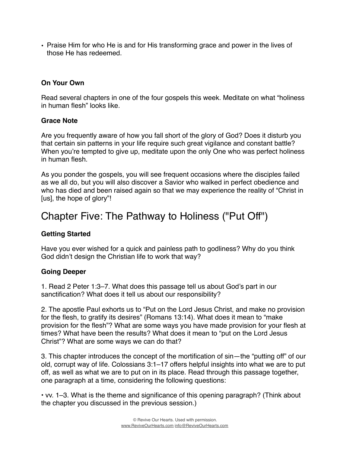• Praise Him for who He is and for His transforming grace and power in the lives of those He has redeemed.

#### **On Your Own**

Read several chapters in one of the four gospels this week. Meditate on what "holiness in human flesh" looks like.

## **Grace Note**

Are you frequently aware of how you fall short of the glory of God? Does it disturb you that certain sin patterns in your life require such great vigilance and constant battle? When you're tempted to give up, meditate upon the only One who was perfect holiness in human flesh.

As you ponder the gospels, you will see frequent occasions where the disciples failed as we all do, but you will also discover a Savior who walked in perfect obedience and who has died and been raised again so that we may experience the reality of "Christ in [us], the hope of glory"!

# Chapter Five: The Pathway to Holiness ("Put Off")

#### **Getting Started**

Have you ever wished for a quick and painless path to godliness? Why do you think God didn't design the Christian life to work that way?

#### **Going Deeper**

1. Read 2 Peter 1:3–7. What does this passage tell us about God's part in our sanctification? What does it tell us about our responsibility?

2. The apostle Paul exhorts us to "Put on the Lord Jesus Christ, and make no provision for the flesh, to gratify its desires" (Romans 13:14). What does it mean to "make provision for the flesh"? What are some ways you have made provision for your flesh at times? What have been the results? What does it mean to "put on the Lord Jesus Christ"? What are some ways we can do that?

3. This chapter introduces the concept of the mortification of sin—the "putting off" of our old, corrupt way of life. Colossians 3:1–17 offers helpful insights into what we are to put off, as well as what we are to put on in its place. Read through this passage together, one paragraph at a time, considering the following questions:

• vv. 1–3. What is the theme and significance of this opening paragraph? (Think about the chapter you discussed in the previous session.)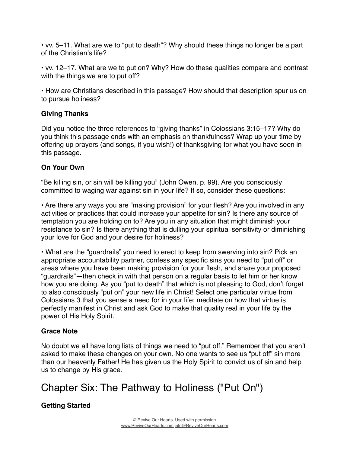• vv. 5–11. What are we to "put to death"? Why should these things no longer be a part of the Christian's life?

• vv. 12–17. What are we to put on? Why? How do these qualities compare and contrast with the things we are to put off?

• How are Christians described in this passage? How should that description spur us on to pursue holiness?

#### **Giving Thanks**

Did you notice the three references to "giving thanks" in Colossians 3:15–17? Why do you think this passage ends with an emphasis on thankfulness? Wrap up your time by offering up prayers (and songs, if you wish!) of thanksgiving for what you have seen in this passage.

#### **On Your Own**

"Be killing sin, or sin will be killing you" (John Owen, p. 99). Are you consciously committed to waging war against sin in your life? If so, consider these questions:

• Are there any ways you are "making provision" for your flesh? Are you involved in any activities or practices that could increase your appetite for sin? Is there any source of temptation you are holding on to? Are you in any situation that might diminish your resistance to sin? Is there anything that is dulling your spiritual sensitivity or diminishing your love for God and your desire for holiness?

• What are the "guardrails" you need to erect to keep from swerving into sin? Pick an appropriate accountability partner, confess any specific sins you need to "put off" or areas where you have been making provision for your flesh, and share your proposed "guardrails"—then check in with that person on a regular basis to let him or her know how you are doing. As you "put to death" that which is not pleasing to God, don't forget to also consciously "put on" your new life in Christ! Select one particular virtue from Colossians 3 that you sense a need for in your life; meditate on how that virtue is perfectly manifest in Christ and ask God to make that quality real in your life by the power of His Holy Spirit.

#### **Grace Note**

No doubt we all have long lists of things we need to "put off." Remember that you aren't asked to make these changes on your own. No one wants to see us "put off" sin more than our heavenly Father! He has given us the Holy Spirit to convict us of sin and help us to change by His grace.

# Chapter Six: The Pathway to Holiness ("Put On")

#### **Getting Started**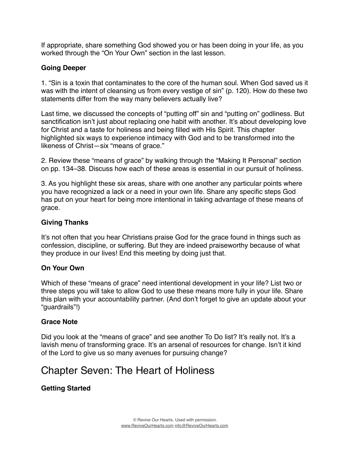If appropriate, share something God showed you or has been doing in your life, as you worked through the "On Your Own" section in the last lesson.

#### **Going Deeper**

1. "Sin is a toxin that contaminates to the core of the human soul. When God saved us it was with the intent of cleansing us from every vestige of sin" (p. 120). How do these two statements differ from the way many believers actually live?

Last time, we discussed the concepts of "putting off" sin and "putting on" godliness. But sanctification isn't just about replacing one habit with another. It's about developing love for Christ and a taste for holiness and being filled with His Spirit. This chapter highlighted six ways to experience intimacy with God and to be transformed into the likeness of Christ—six "means of grace."

2. Review these "means of grace" by walking through the "Making It Personal" section on pp. 134–38. Discuss how each of these areas is essential in our pursuit of holiness.

3. As you highlight these six areas, share with one another any particular points where you have recognized a lack or a need in your own life. Share any specific steps God has put on your heart for being more intentional in taking advantage of these means of grace.

#### **Giving Thanks**

It's not often that you hear Christians praise God for the grace found in things such as confession, discipline, or suffering. But they are indeed praiseworthy because of what they produce in our lives! End this meeting by doing just that.

#### **On Your Own**

Which of these "means of grace" need intentional development in your life? List two or three steps you will take to allow God to use these means more fully in your life. Share this plan with your accountability partner. (And don't forget to give an update about your "guardrails"!)

#### **Grace Note**

Did you look at the "means of grace" and see another To Do list? It's really not. It's a lavish menu of transforming grace. It's an arsenal of resources for change. Isn't it kind of the Lord to give us so many avenues for pursuing change?

# Chapter Seven: The Heart of Holiness

#### **Getting Started**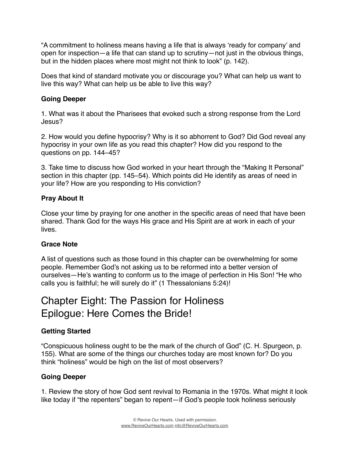"A commitment to holiness means having a life that is always 'ready for company' and open for inspection—a life that can stand up to scrutiny—not just in the obvious things, but in the hidden places where most might not think to look" (p. 142).

Does that kind of standard motivate you or discourage you? What can help us want to live this way? What can help us be able to live this way?

#### **Going Deeper**

1. What was it about the Pharisees that evoked such a strong response from the Lord Jesus?

2. How would you define hypocrisy? Why is it so abhorrent to God? Did God reveal any hypocrisy in your own life as you read this chapter? How did you respond to the questions on pp. 144–45?

3. Take time to discuss how God worked in your heart through the "Making It Personal" section in this chapter (pp. 145–54). Which points did He identify as areas of need in your life? How are you responding to His conviction?

#### **Pray About It**

Close your time by praying for one another in the specific areas of need that have been shared. Thank God for the ways His grace and His Spirit are at work in each of your lives.

#### **Grace Note**

A list of questions such as those found in this chapter can be overwhelming for some people. Remember God's not asking us to be reformed into a better version of ourselves—He's wanting to conform us to the image of perfection in His Son! "He who calls you is faithful; he will surely do it" (1 Thessalonians 5:24)!

# Chapter Eight: The Passion for Holiness Epilogue: Here Comes the Bride!

#### **Getting Started**

"Conspicuous holiness ought to be the mark of the church of God" (C. H. Spurgeon, p. 155). What are some of the things our churches today are most known for? Do you think "holiness" would be high on the list of most observers?

## **Going Deeper**

1. Review the story of how God sent revival to Romania in the 1970s. What might it look like today if "the repenters" began to repent—if God's people took holiness seriously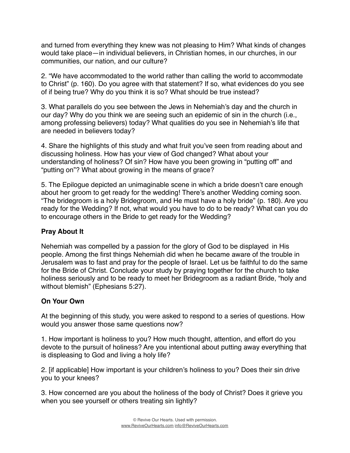and turned from everything they knew was not pleasing to Him? What kinds of changes would take place—in individual believers, in Christian homes, in our churches, in our communities, our nation, and our culture?

2. "We have accommodated to the world rather than calling the world to accommodate to Christ" (p. 160). Do you agree with that statement? If so, what evidences do you see of if being true? Why do you think it is so? What should be true instead?

3. What parallels do you see between the Jews in Nehemiah's day and the church in our day? Why do you think we are seeing such an epidemic of sin in the church (i.e., among professing believers) today? What qualities do you see in Nehemiah's life that are needed in believers today?

4. Share the highlights of this study and what fruit you've seen from reading about and discussing holiness. How has your view of God changed? What about your understanding of holiness? Of sin? How have you been growing in "putting off" and "putting on"? What about growing in the means of grace?

5. The Epilogue depicted an unimaginable scene in which a bride doesn't care enough about her groom to get ready for the wedding! There's another Wedding coming soon. "The bridegroom is a holy Bridegroom, and He must have a holy bride" (p. 180). Are you ready for the Wedding? If not, what would you have to do to be ready? What can you do to encourage others in the Bride to get ready for the Wedding?

## **Pray About It**

Nehemiah was compelled by a passion for the glory of God to be displayed in His people. Among the first things Nehemiah did when he became aware of the trouble in Jerusalem was to fast and pray for the people of Israel. Let us be faithful to do the same for the Bride of Christ. Conclude your study by praying together for the church to take holiness seriously and to be ready to meet her Bridegroom as a radiant Bride, "holy and without blemish" (Ephesians 5:27).

## **On Your Own**

At the beginning of this study, you were asked to respond to a series of questions. How would you answer those same questions now?

1. How important is holiness to you? How much thought, attention, and effort do you devote to the pursuit of holiness? Are you intentional about putting away everything that is displeasing to God and living a holy life?

2. [if applicable] How important is your children's holiness to you? Does their sin drive you to your knees?

3. How concerned are you about the holiness of the body of Christ? Does it grieve you when you see yourself or others treating sin lightly?